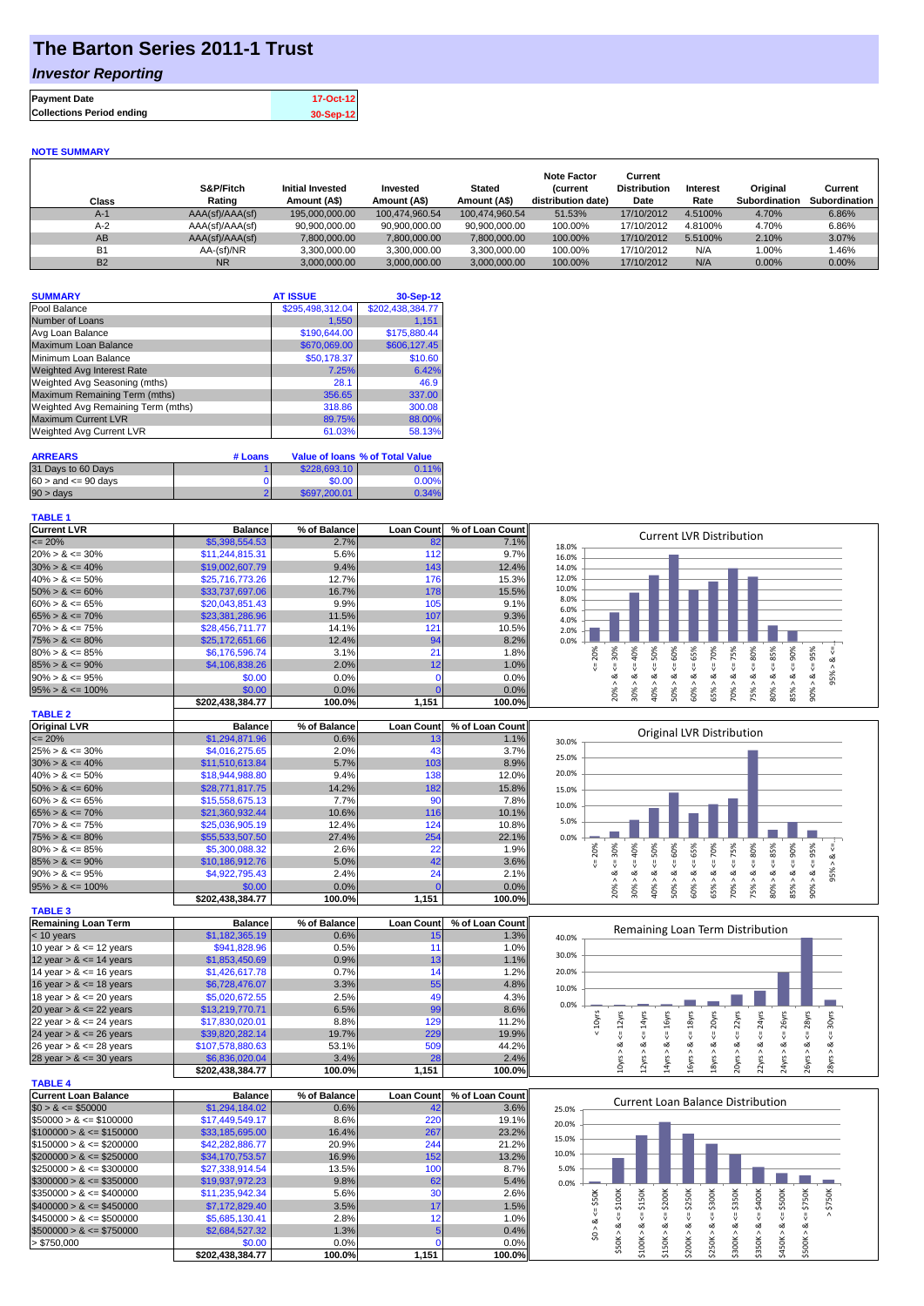## **The Barton Series 2011-1 Trust**

### *Investor Reporting*

| <b>Payment Date</b>              | 17-Oct-12 |
|----------------------------------|-----------|
| <b>Collections Period ending</b> | 30-Sep-12 |

#### **NOTE SUMMARY**

| Class          | S&P/Fitch<br>Rating | <b>Initial Invested</b><br>Amount (A\$) | Invested<br>Amount (A\$) | <b>Stated</b><br>Amount (A\$) | <b>Note Factor</b><br><b>Current</b><br>distribution date) | Current<br><b>Distribution</b><br>Date | Interest<br>Rate | Original<br>Subordination | Current<br>Subordination |
|----------------|---------------------|-----------------------------------------|--------------------------|-------------------------------|------------------------------------------------------------|----------------------------------------|------------------|---------------------------|--------------------------|
| $A-1$          | AAA(sf)/AAA(sf)     | 195,000,000.00                          | 100.474.960.54           | 100.474.960.54                | 51.53%                                                     | 17/10/2012                             | 4.5100%          | 4.70%                     | 6.86%                    |
| $A-2$          | AAA(sf)/AAA(sf)     | 90.900.000.00                           | 90.900.000.00            | 90.900.000.00                 | 100.00%                                                    | 17/10/2012                             | 4.8100%          | 4.70%                     | 6.86%                    |
| AB             | AAA(sf)/AAA(sf)     | 7,800,000.00                            | 7,800,000.00             | 7,800,000.00                  | 100.00%                                                    | 17/10/2012                             | 5.5100%          | 2.10%                     | 3.07%                    |
| <b>B1</b>      | AA-(sf)/NR          | 3,300,000.00                            | 3.300.000.00             | 3.300.000.00                  | 100.00%                                                    | 17/10/2012                             | N/A              | $0.00\%$                  | .46%                     |
| B <sub>2</sub> | <b>NR</b>           | 3.000.000.00                            | 3.000.000.00             | 3.000.000.00                  | 100.00%                                                    | 17/10/2012                             | N/A              | 0.00%                     | $0.00\%$                 |

| <b>SUMMARY</b>                     | <b>AT ISSUE</b>  | 30-Sep-12        |
|------------------------------------|------------------|------------------|
| Pool Balance                       | \$295,498,312.04 | \$202,438,384.77 |
| Number of Loans                    | 1,550            | 1.151            |
| Avg Loan Balance                   | \$190,644.00     | \$175,880.44     |
| Maximum Loan Balance               | \$670,069.00     | \$606,127.45     |
| Minimum Loan Balance               | \$50,178.37      | \$10.60          |
| <b>Weighted Avg Interest Rate</b>  | 7.25%            | 6.42%            |
| Weighted Avg Seasoning (mths)      | 28.1             | 46.9             |
| Maximum Remaining Term (mths)      | 356.65           | 337.00           |
| Weighted Avg Remaining Term (mths) | 318.86           | 300.08           |
| <b>Maximum Current LVR</b>         | 89.75%           | 88.00%           |
| Weighted Avg Current LVR           | 61.03%           | 58.13%           |

| <b>ARREARS</b>            | # Loans |              | Value of Ioans % of Total Value |
|---------------------------|---------|--------------|---------------------------------|
| 31 Days to 60 Days        |         | \$228,693.10 | 0.11%                           |
| $60 >$ and $\leq 90$ days |         | \$0.00       | 0.00%                           |
| $90 > \text{days}$        |         | \$697,200.01 | 0.34%                           |

### **TABLE 1**

**TABLE 4**

| <b>Current LVR</b>   | <b>Balance</b>   | % of Balance | <b>Loan Count</b> | % of Loan Count | <b>Current LVR Distribution</b>                                           |
|----------------------|------------------|--------------|-------------------|-----------------|---------------------------------------------------------------------------|
| $\leq$ 20%           | \$5,398,554.53   | 2.7%         | 82                | 7.1%            | 18.0%                                                                     |
| $20\% > 8 \le 30\%$  | \$11,244,815.31  | 5.6%         | 112               | 9.7%            | 16.0%                                                                     |
| $30\% > 8 \le 40\%$  | \$19,002,607.79  | 9.4%         | 143               | 12.4%           | 14.0%                                                                     |
| $40\% > 8 \le 50\%$  | \$25,716,773.26  | 12.7%        | 176               | 15.3%           | 12.0%                                                                     |
| $50\% > 8 \le 60\%$  | \$33,737,697,06  | 16.7%        | 178               | 15.5%           | 10.0%                                                                     |
| $60\% > 8 \le 65\%$  | \$20,043,851.43  | 9.9%         | 105               | 9.1%            | 8.0%<br>6.0%                                                              |
| $65\% > 8 \le 70\%$  | \$23,381,286.96  | 11.5%        | 107               | 9.3%            | 4.0%                                                                      |
| $70\% > 8 \le 75\%$  | \$28,456,711.77  | 14.1%        | 121               | 10.5%           | 2.0%                                                                      |
| $75\% > 8 \le 80\%$  | \$25,172,651.66  | 12.4%        | 94                | 8.2%            | 0.0%                                                                      |
| $80\% > 8 \le 85\%$  | \$6,176,596,74   | 3.1%         | 21                | 1.8%            | 20%<br>50%<br>℅<br>℅<br>℅<br>χo<br>င္တ<br>Ò<br>Ĥ,<br>Ò                    |
| $85\% > 8 \le 90\%$  | \$4,106,838.26   | 2.0%         | 12 <sub>1</sub>   | 1.0%            |                                                                           |
| $90\% > 8 \le 95\%$  | \$0.00           | 0.0%         |                   | 0.0%            | ∞<br>oΖ<br>∞<br>₼                                                         |
| $95\% > 8 \le 100\%$ | \$0.00           | $0.0\%$      |                   | 0.0%            | š<br>င္ကိ<br>కి<br>ន្តិ<br>ិ<br>ភិ<br>ဢိ<br>స్లే<br>కి<br>⋗<br>⋗          |
|                      | \$202,438,384.77 | 100.0%       | 1,151             | 100.0%          | $\infty$<br>$\bar{N}$<br>$\overline{\phantom{0}}$<br>$\infty$<br>$\sigma$ |
| <b>TABLE 3</b>       |                  |              |                   |                 |                                                                           |

| <b>TABLE 2</b>       |                  |              |                   |                 |       |                                                                                       |  |
|----------------------|------------------|--------------|-------------------|-----------------|-------|---------------------------------------------------------------------------------------|--|
| <b>Original LVR</b>  | <b>Balance</b>   | % of Balance | <b>Loan Count</b> | % of Loan Count |       | Original LVR Distribution                                                             |  |
| $\leq$ 20%           | \$1,294,871.96   | 0.6%         | 13                | 1.1%            | 30.0% |                                                                                       |  |
| $25\% > 8 \le 30\%$  | \$4,016,275.65   | 2.0%         | 43                | 3.7%            | 25.0% |                                                                                       |  |
| $30\% > 8 \le 40\%$  | \$11,510,613,84  | 5.7%         | 103               | 8.9%            |       |                                                                                       |  |
| $40\% > 8 \le 50\%$  | \$18,944,988.80  | 9.4%         | 138               | 12.0%           | 20.0% |                                                                                       |  |
| $50\% > 8 \le 60\%$  | \$28,771,817,75  | 14.2%        | 182               | 15.8%           | 15.0% |                                                                                       |  |
| $60\% > 8 \le 65\%$  | \$15,558,675.13  | 7.7%         | 90                | 7.8%            | 10.0% |                                                                                       |  |
| $65\% > 8 \le 70\%$  | \$21,360,932,44  | 10.6%        | 116               | 10.1%           |       |                                                                                       |  |
| $70\% > 8 \le 75\%$  | \$25,036,905.19  | 12.4%        | 124               | 10.8%           | 5.0%  |                                                                                       |  |
| $75\% > 8 \le 80\%$  | \$55,533,507.50  | 27.4%        | 254               | 22.1%           | 0.0%  |                                                                                       |  |
| $80\% > 8 \le 85\%$  | \$5,300,088,32   | 2.6%         | 22                | 1.9%            |       | 20%<br>℅<br>℅<br>70%<br>৯ৎ<br>ន្ថិ<br>ѫ<br>Š<br>ဝ္တ<br>င္က<br>٩<br>Ū3<br>Ř<br>Ŕ<br>Ř, |  |
| $85\% > 8 \le 90\%$  | \$10,186,912.76  | 5.0%         | 42 <sub>1</sub>   | 3.6%            |       |                                                                                       |  |
| $90\% > 8 \le 95\%$  | \$4,922,795.43   | 2.4%         | 24                | 2.1%            |       | ∝<br>∞<br>œ<br>∞<br>∞<br>∞<br>œ<br>οZ<br>$\sigma$                                     |  |
| $95\% > 8 \le 100\%$ | \$0.00           | $0.0\%$      |                   | 0.0%            |       | 20%<br>န္တ<br>∘<br><u>ကိ</u><br>န္မ<br>ŝ<br>కి<br>⋗<br>ð<br>ū                         |  |
|                      | \$202.438.384.77 | 100.0%       | 1.151             | 100.0%          |       | -93<br>∞<br>ιc.<br>൹<br>$\overline{\phantom{0}}$                                      |  |

| <b>TABLE 3</b>             |                  |              |                   |                 |
|----------------------------|------------------|--------------|-------------------|-----------------|
| <b>Remaining Loan Term</b> | <b>Balance</b>   | % of Balance | <b>Loan Count</b> | % of Loan Count |
| $<$ 10 years               | \$1,182,365.19   | 0.6%         | 15                | 1.3%            |
| 10 year $> 8 \le 12$ years | \$941,828.96     | 0.5%         | 11                | 1.0%            |
| 12 year $> 8 \le 14$ years | \$1,853,450.69   | 0.9%         | 13                | 1.1%            |
| 14 year $> 8 \le 16$ years | \$1,426,617.78   | 0.7%         | 14                | 1.2%            |
| 16 year $> 8 \le 18$ years | \$6,728,476.07   | 3.3%         | 55                | 4.8%            |
| 18 year $> 8 \le 20$ years | \$5,020,672.55   | 2.5%         | 49                | 4.3%            |
| 20 year $> 8 \le 22$ years | \$13,219,770.71  | 6.5%         | 99                | 8.6%            |
| 22 year $> 8 \le 24$ years | \$17,830,020.01  | 8.8%         | 129               | 11.2%           |
| 24 year $> 8 \le 26$ years | \$39,820,282.14  | 19.7%        | 229               | 19.9%           |
| 26 year $> 8 \le 28$ years | \$107.578.880.63 | 53.1%        | 509               | 44.2%           |
| 28 year $> 8 \le 30$ years | \$6,836,020.04   | 3.4%         | 28                | 2.4%            |
|                            | \$202.438.384.77 | 100.0%       | 1.151             | 100.0%          |

| TABLE 4                     |                  |              |                   |                 |
|-----------------------------|------------------|--------------|-------------------|-----------------|
| Current Loan Balance        | <b>Balance</b>   | % of Balance | <b>Loan Count</b> | % of Loan Count |
| $$0 > 8 \leq $50000$        | \$1,294,184,02   | 0.6%         | 42                | 3.6%            |
| $\$50000 > 8 \leq \$100000$ | \$17,449,549.17  | 8.6%         | 220               | 19.1%           |
| $$100000 > 8 \leq $150000$  | \$33,185,695,00  | 16.4%        | 267               | 23.2%           |
| $$150000 > 8 \leq $200000$  | \$42,282,886.77  | 20.9%        | 244               | 21.2%           |
| $$200000 > 8 \leq $250000$  | \$34,170,753.57  | 16.9%        | 152               | 13.2%           |
| $$250000 > 8 \leq $300000$  | \$27,338,914.54  | 13.5%        | 100               | 8.7%            |
| $$300000 > 8 \leq $350000$  | \$19,937,972.23  | 9.8%         | 62                | 5.4%            |
| $$350000 > 8 \leq $400000$  | \$11.235.942.34  | 5.6%         | 30                | 2.6%            |
| $$400000 > 8 \leq $450000$  | \$7,172,829.40   | 3.5%         | 17                | 1.5%            |
| $$450000 > 8 \leq $500000$  | \$5,685,130.41   | 2.8%         | 12 <sub>1</sub>   | 1.0%            |
| $$500000 > 8 \leq $750000$  | \$2,684,527,32   | 1.3%         | 5                 | 0.4%            |
| > \$750,000                 | \$0.00           | $0.0\%$      |                   | 0.0%            |
|                             | \$202.438.384.77 | 100.0%       | 1.151             | 100.0%          |